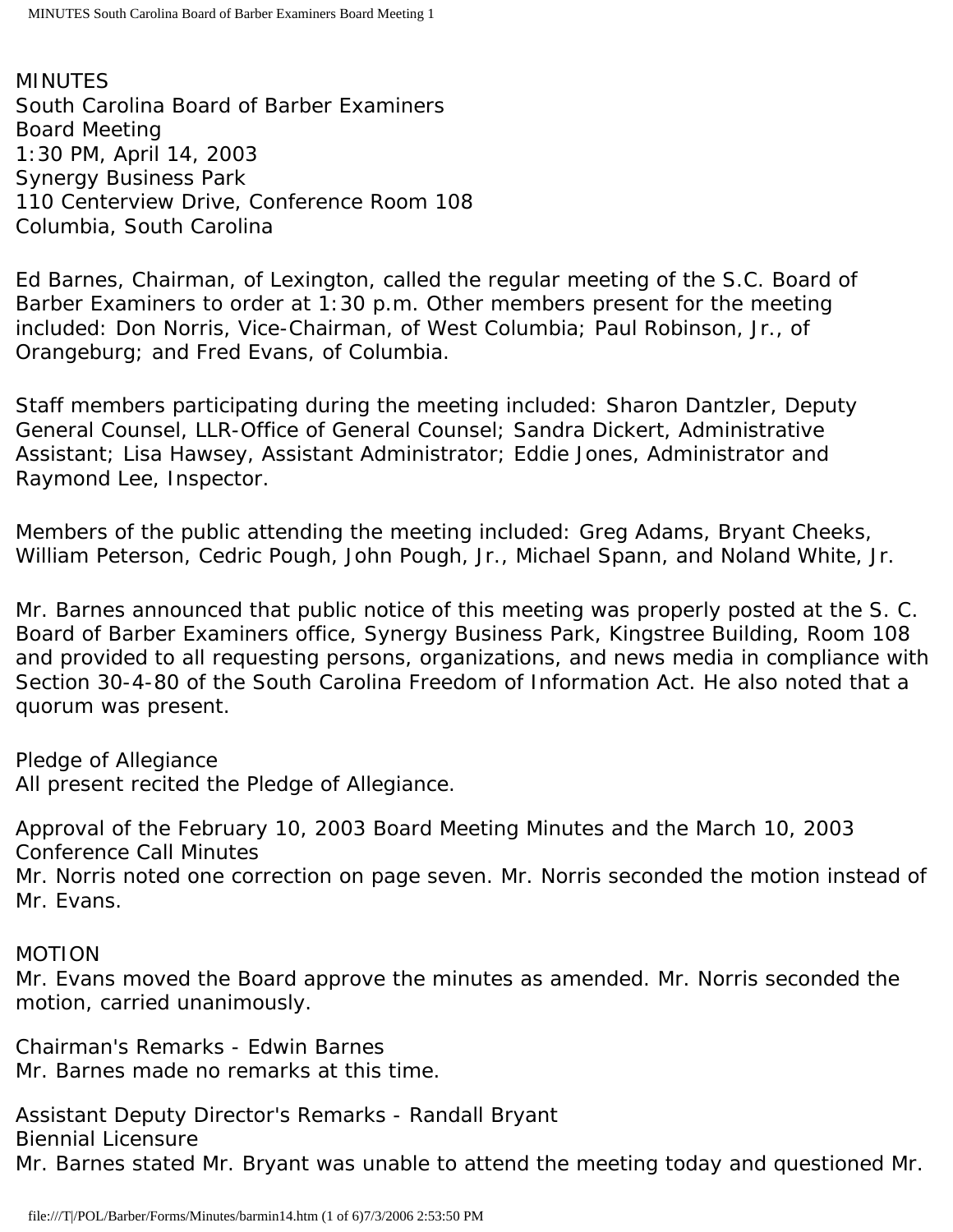MINUTES South Carolina Board of Barber Examiners Board Meeting 1:30 PM, April 14, 2003 Synergy Business Park 110 Centerview Drive, Conference Room 108 Columbia, South Carolina

Ed Barnes, Chairman, of Lexington, called the regular meeting of the S.C. Board of Barber Examiners to order at 1:30 p.m. Other members present for the meeting included: Don Norris, Vice-Chairman, of West Columbia; Paul Robinson, Jr., of Orangeburg; and Fred Evans, of Columbia.

Staff members participating during the meeting included: Sharon Dantzler, Deputy General Counsel, LLR-Office of General Counsel; Sandra Dickert, Administrative Assistant; Lisa Hawsey, Assistant Administrator; Eddie Jones, Administrator and Raymond Lee, Inspector.

Members of the public attending the meeting included: Greg Adams, Bryant Cheeks, William Peterson, Cedric Pough, John Pough, Jr., Michael Spann, and Noland White, Jr.

Mr. Barnes announced that public notice of this meeting was properly posted at the S. C. Board of Barber Examiners office, Synergy Business Park, Kingstree Building, Room 108 and provided to all requesting persons, organizations, and news media in compliance with Section 30-4-80 of the South Carolina Freedom of Information Act. He also noted that a quorum was present.

Pledge of Allegiance All present recited the Pledge of Allegiance.

Approval of the February 10, 2003 Board Meeting Minutes and the March 10, 2003 Conference Call Minutes

Mr. Norris noted one correction on page seven. Mr. Norris seconded the motion instead of Mr. Evans.

## MOTION

Mr. Evans moved the Board approve the minutes as amended. Mr. Norris seconded the motion, carried unanimously.

Chairman's Remarks - Edwin Barnes Mr. Barnes made no remarks at this time.

Assistant Deputy Director's Remarks - Randall Bryant Biennial Licensure Mr. Barnes stated Mr. Bryant was unable to attend the meeting today and questioned Mr.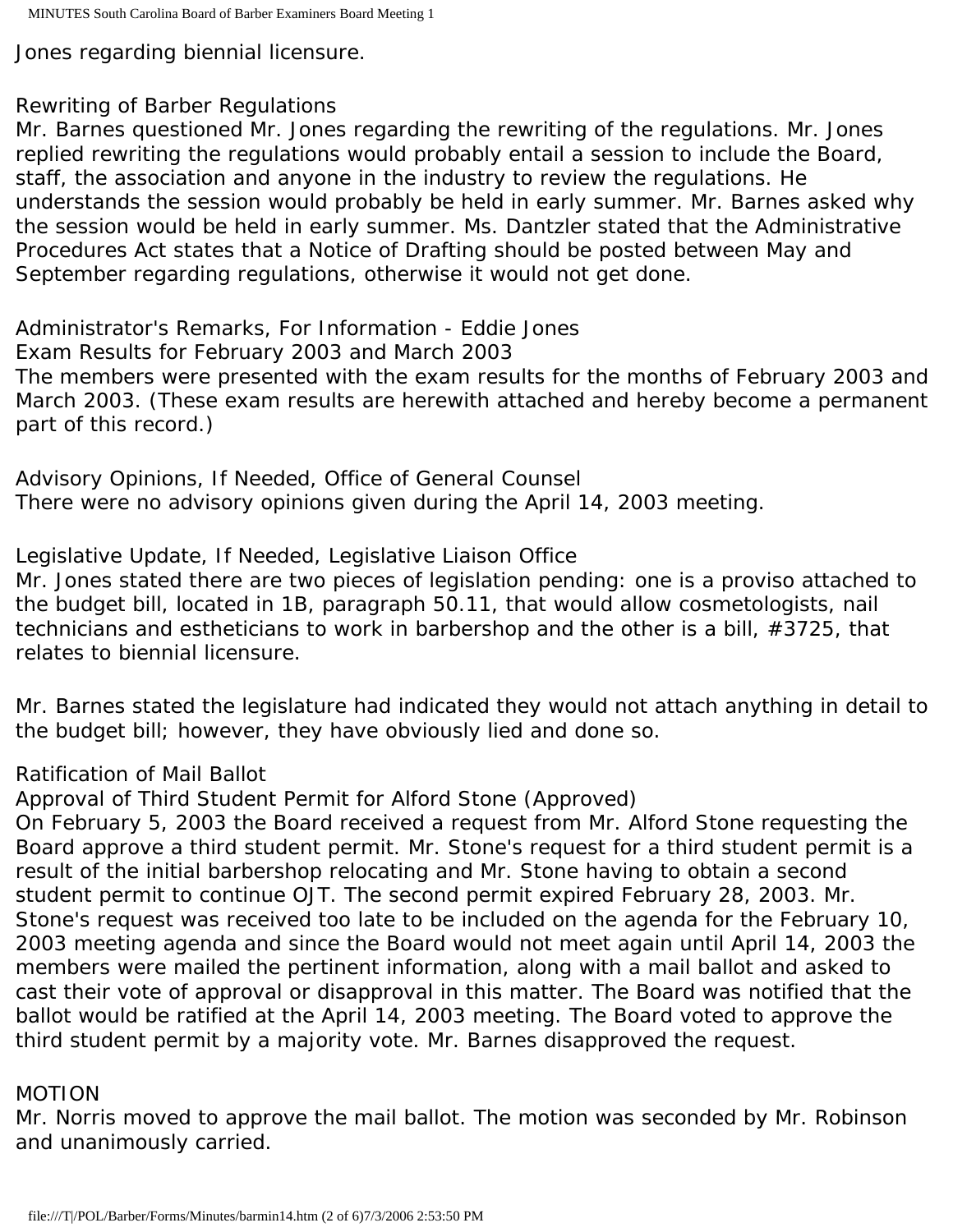Jones regarding biennial licensure.

# Rewriting of Barber Regulations

Mr. Barnes questioned Mr. Jones regarding the rewriting of the regulations. Mr. Jones replied rewriting the regulations would probably entail a session to include the Board, staff, the association and anyone in the industry to review the regulations. He understands the session would probably be held in early summer. Mr. Barnes asked why the session would be held in early summer. Ms. Dantzler stated that the Administrative Procedures Act states that a Notice of Drafting should be posted between May and September regarding regulations, otherwise it would not get done.

Administrator's Remarks, For Information - Eddie Jones Exam Results for February 2003 and March 2003 The members were presented with the exam results for the months of February 2003 and March 2003. (These exam results are herewith attached and hereby become a permanent part of this record.)

Advisory Opinions, If Needed, Office of General Counsel There were no advisory opinions given during the April 14, 2003 meeting.

Legislative Update, If Needed, Legislative Liaison Office

Mr. Jones stated there are two pieces of legislation pending: one is a proviso attached to the budget bill, located in 1B, paragraph 50.11, that would allow cosmetologists, nail technicians and estheticians to work in barbershop and the other is a bill, #3725, that relates to biennial licensure.

Mr. Barnes stated the legislature had indicated they would not attach anything in detail to the budget bill; however, they have obviously lied and done so.

Ratification of Mail Ballot

Approval of Third Student Permit for Alford Stone (Approved)

On February 5, 2003 the Board received a request from Mr. Alford Stone requesting the Board approve a third student permit. Mr. Stone's request for a third student permit is a result of the initial barbershop relocating and Mr. Stone having to obtain a second student permit to continue OJT. The second permit expired February 28, 2003. Mr. Stone's request was received too late to be included on the agenda for the February 10, 2003 meeting agenda and since the Board would not meet again until April 14, 2003 the members were mailed the pertinent information, along with a mail ballot and asked to cast their vote of approval or disapproval in this matter. The Board was notified that the ballot would be ratified at the April 14, 2003 meeting. The Board voted to approve the third student permit by a majority vote. Mr. Barnes disapproved the request.

## MOTION

Mr. Norris moved to approve the mail ballot. The motion was seconded by Mr. Robinson and unanimously carried.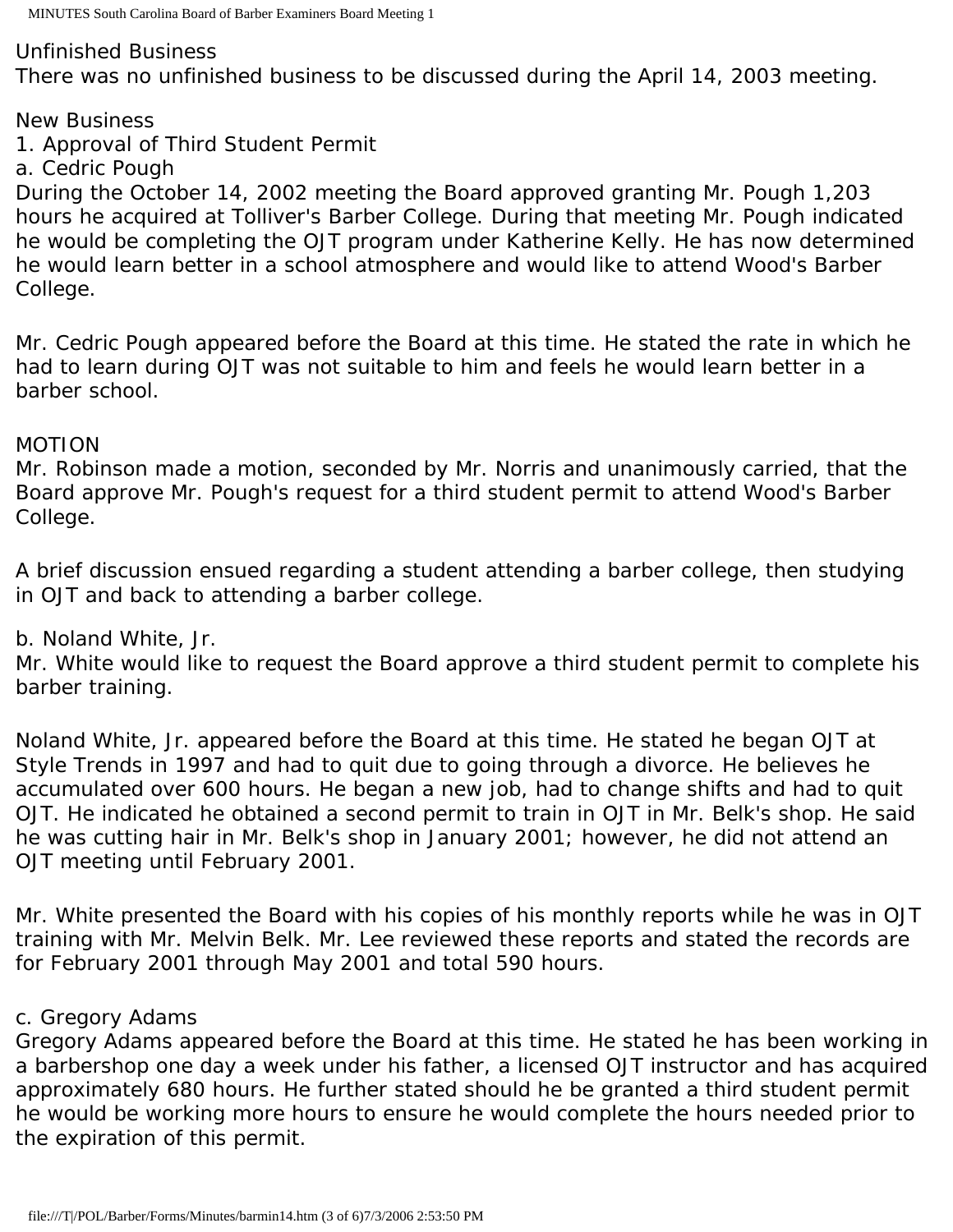#### Unfinished Business

There was no unfinished business to be discussed during the April 14, 2003 meeting.

# New Business

1. Approval of Third Student Permit

## a. Cedric Pough

During the October 14, 2002 meeting the Board approved granting Mr. Pough 1,203 hours he acquired at Tolliver's Barber College. During that meeting Mr. Pough indicated he would be completing the OJT program under Katherine Kelly. He has now determined he would learn better in a school atmosphere and would like to attend Wood's Barber College.

Mr. Cedric Pough appeared before the Board at this time. He stated the rate in which he had to learn during OJT was not suitable to him and feels he would learn better in a barber school.

## MOTION

Mr. Robinson made a motion, seconded by Mr. Norris and unanimously carried, that the Board approve Mr. Pough's request for a third student permit to attend Wood's Barber College.

A brief discussion ensued regarding a student attending a barber college, then studying in OJT and back to attending a barber college.

b. Noland White, Jr.

Mr. White would like to request the Board approve a third student permit to complete his barber training.

Noland White, Jr. appeared before the Board at this time. He stated he began OJT at Style Trends in 1997 and had to quit due to going through a divorce. He believes he accumulated over 600 hours. He began a new job, had to change shifts and had to quit OJT. He indicated he obtained a second permit to train in OJT in Mr. Belk's shop. He said he was cutting hair in Mr. Belk's shop in January 2001; however, he did not attend an OJT meeting until February 2001.

Mr. White presented the Board with his copies of his monthly reports while he was in OJT training with Mr. Melvin Belk. Mr. Lee reviewed these reports and stated the records are for February 2001 through May 2001 and total 590 hours.

## c. Gregory Adams

Gregory Adams appeared before the Board at this time. He stated he has been working in a barbershop one day a week under his father, a licensed OJT instructor and has acquired approximately 680 hours. He further stated should he be granted a third student permit he would be working more hours to ensure he would complete the hours needed prior to the expiration of this permit.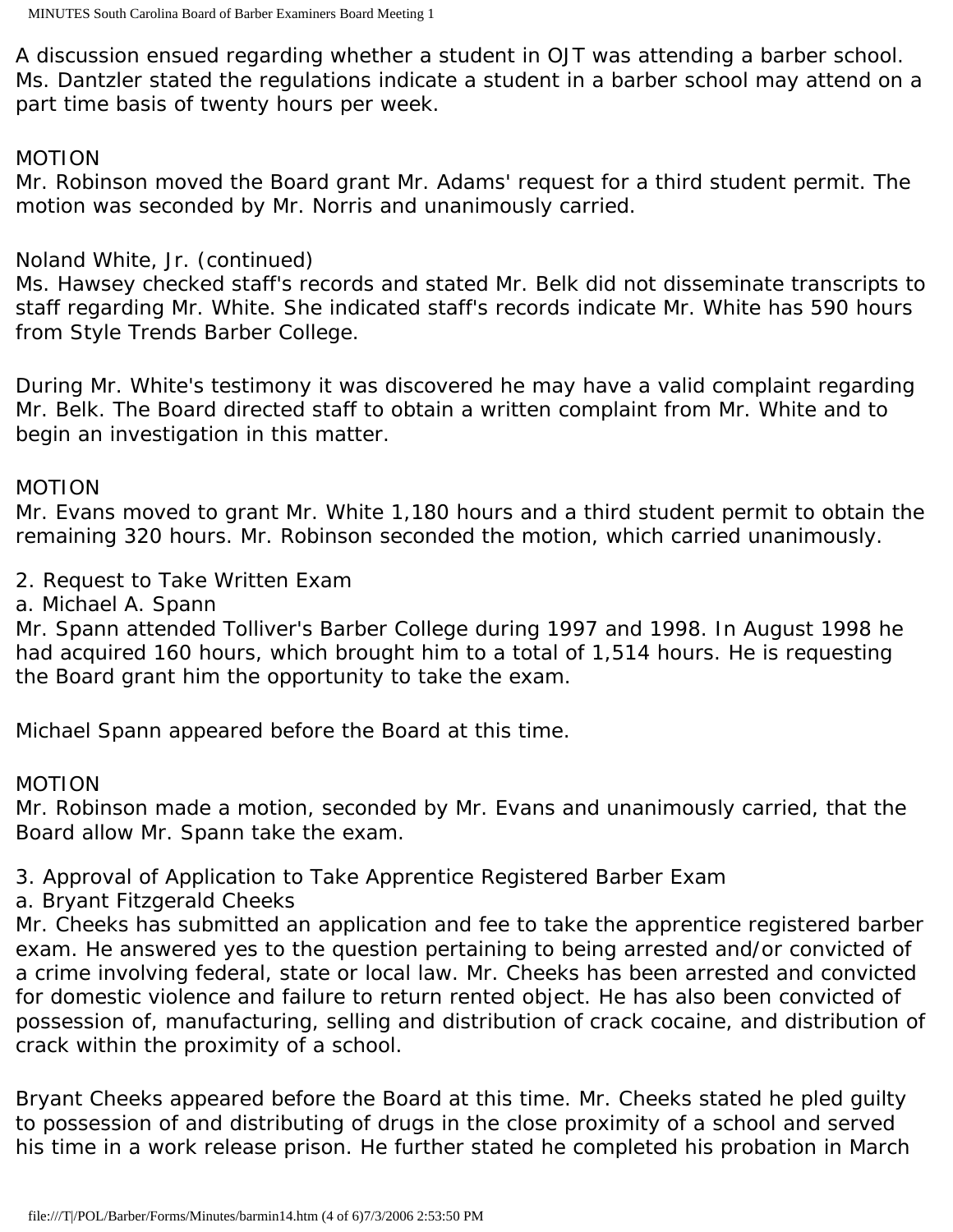A discussion ensued regarding whether a student in OJT was attending a barber school. Ms. Dantzler stated the regulations indicate a student in a barber school may attend on a part time basis of twenty hours per week.

#### MOTION

Mr. Robinson moved the Board grant Mr. Adams' request for a third student permit. The motion was seconded by Mr. Norris and unanimously carried.

## Noland White, Jr. (continued)

Ms. Hawsey checked staff's records and stated Mr. Belk did not disseminate transcripts to staff regarding Mr. White. She indicated staff's records indicate Mr. White has 590 hours from Style Trends Barber College.

During Mr. White's testimony it was discovered he may have a valid complaint regarding Mr. Belk. The Board directed staff to obtain a written complaint from Mr. White and to begin an investigation in this matter.

## MOTION

Mr. Evans moved to grant Mr. White 1,180 hours and a third student permit to obtain the remaining 320 hours. Mr. Robinson seconded the motion, which carried unanimously.

2. Request to Take Written Exam

a. Michael A. Spann

Mr. Spann attended Tolliver's Barber College during 1997 and 1998. In August 1998 he had acquired 160 hours, which brought him to a total of 1,514 hours. He is requesting the Board grant him the opportunity to take the exam.

Michael Spann appeared before the Board at this time.

## MOTION

Mr. Robinson made a motion, seconded by Mr. Evans and unanimously carried, that the Board allow Mr. Spann take the exam.

3. Approval of Application to Take Apprentice Registered Barber Exam

a. Bryant Fitzgerald Cheeks

Mr. Cheeks has submitted an application and fee to take the apprentice registered barber exam. He answered yes to the question pertaining to being arrested and/or convicted of a crime involving federal, state or local law. Mr. Cheeks has been arrested and convicted for domestic violence and failure to return rented object. He has also been convicted of possession of, manufacturing, selling and distribution of crack cocaine, and distribution of crack within the proximity of a school.

Bryant Cheeks appeared before the Board at this time. Mr. Cheeks stated he pled guilty to possession of and distributing of drugs in the close proximity of a school and served his time in a work release prison. He further stated he completed his probation in March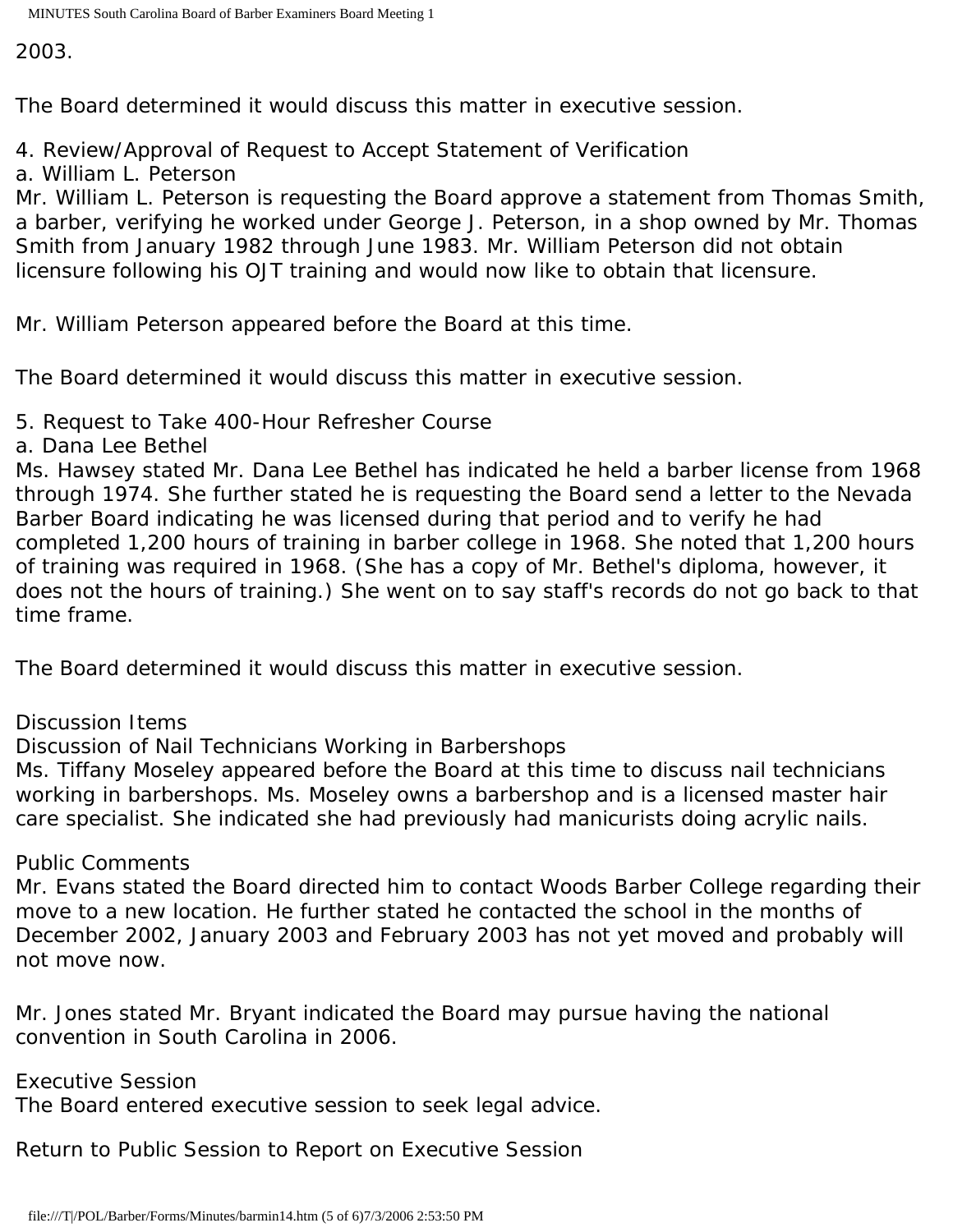2003.

The Board determined it would discuss this matter in executive session.

4. Review/Approval of Request to Accept Statement of Verification

a. William L. Peterson

Mr. William L. Peterson is requesting the Board approve a statement from Thomas Smith, a barber, verifying he worked under George J. Peterson, in a shop owned by Mr. Thomas Smith from January 1982 through June 1983. Mr. William Peterson did not obtain licensure following his OJT training and would now like to obtain that licensure.

Mr. William Peterson appeared before the Board at this time.

The Board determined it would discuss this matter in executive session.

5. Request to Take 400-Hour Refresher Course

a. Dana Lee Bethel

Ms. Hawsey stated Mr. Dana Lee Bethel has indicated he held a barber license from 1968 through 1974. She further stated he is requesting the Board send a letter to the Nevada Barber Board indicating he was licensed during that period and to verify he had completed 1,200 hours of training in barber college in 1968. She noted that 1,200 hours of training was required in 1968. (She has a copy of Mr. Bethel's diploma, however, it does not the hours of training.) She went on to say staff's records do not go back to that time frame.

The Board determined it would discuss this matter in executive session.

Discussion Items

Discussion of Nail Technicians Working in Barbershops

Ms. Tiffany Moseley appeared before the Board at this time to discuss nail technicians working in barbershops. Ms. Moseley owns a barbershop and is a licensed master hair care specialist. She indicated she had previously had manicurists doing acrylic nails.

Public Comments

Mr. Evans stated the Board directed him to contact Woods Barber College regarding their move to a new location. He further stated he contacted the school in the months of December 2002, January 2003 and February 2003 has not yet moved and probably will not move now.

Mr. Jones stated Mr. Bryant indicated the Board may pursue having the national convention in South Carolina in 2006.

Executive Session

The Board entered executive session to seek legal advice.

Return to Public Session to Report on Executive Session